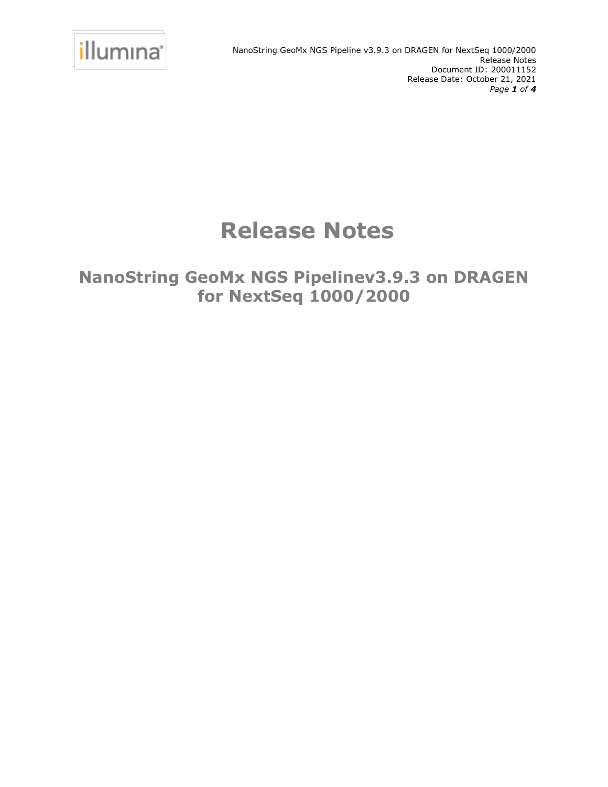

# **Release Notes**

**NanoString GeoMx NGS Pipelinev3.9.3 on DRAGEN for NextSeq 1000/2000**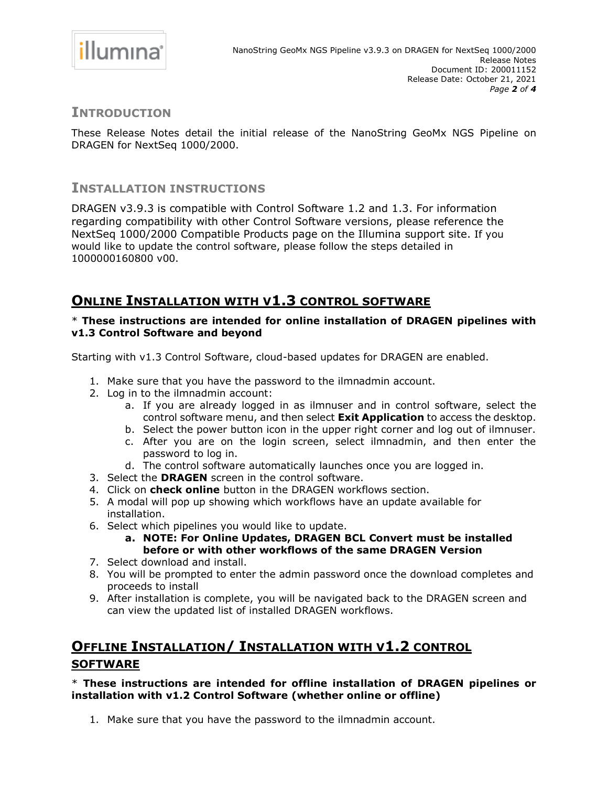

### **INTRODUCTION**

These Release Notes detail the initial release of the NanoString GeoMx NGS Pipeline on DRAGEN for NextSeq 1000/2000.

### **INSTALLATION INSTRUCTIONS**

DRAGEN v3.9.3 is compatible with Control Software 1.2 and 1.3. For information regarding compatibility with other Control Software versions, please reference the NextSeq 1000/2000 Compatible Products page on the Illumina support site. If you would like to update the control software, please follow the steps detailed in 1000000160800 v00.

# **ONLINE INSTALLATION WITH V1.3 CONTROL SOFTWARE**

### \* **These instructions are intended for online installation of DRAGEN pipelines with v1.3 Control Software and beyond**

Starting with v1.3 Control Software, cloud-based updates for DRAGEN are enabled.

- 1. Make sure that you have the password to the ilmnadmin account.
- 2. Log in to the ilmnadmin account:
	- a. If you are already logged in as ilmnuser and in control software, select the control software menu, and then select **Exit Application** to access the desktop.
	- b. Select the power button icon in the upper right corner and log out of ilmnuser.
	- c. After you are on the login screen, select ilmnadmin, and then enter the password to log in.
	- d. The control software automatically launches once you are logged in.
- 3. Select the **DRAGEN** screen in the control software.
- 4. Click on **check online** button in the DRAGEN workflows section.
- 5. A modal will pop up showing which workflows have an update available for installation.
- 6. Select which pipelines you would like to update.
	- **a. NOTE: For Online Updates, DRAGEN BCL Convert must be installed before or with other workflows of the same DRAGEN Version**
- 7. Select download and install.
- 8. You will be prompted to enter the admin password once the download completes and proceeds to install
- 9. After installation is complete, you will be navigated back to the DRAGEN screen and can view the updated list of installed DRAGEN workflows.

# **OFFLINE INSTALLATION/ INSTALLATION WITH V1.2 CONTROL SOFTWARE**

### \* **These instructions are intended for offline installation of DRAGEN pipelines or installation with v1.2 Control Software (whether online or offline)**

1. Make sure that you have the password to the ilmnadmin account.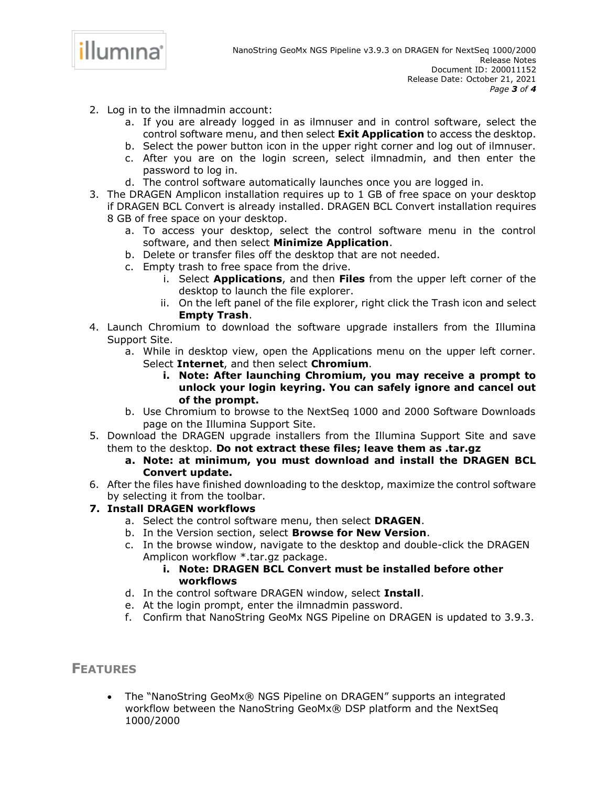

- 2. Log in to the ilmnadmin account:
	- a. If you are already logged in as ilmnuser and in control software, select the control software menu, and then select **Exit Application** to access the desktop.
	- b. Select the power button icon in the upper right corner and log out of ilmnuser.
	- c. After you are on the login screen, select ilmnadmin, and then enter the password to log in.
	- d. The control software automatically launches once you are logged in.
- 3. The DRAGEN Amplicon installation requires up to 1 GB of free space on your desktop if DRAGEN BCL Convert is already installed. DRAGEN BCL Convert installation requires 8 GB of free space on your desktop.
	- a. To access your desktop, select the control software menu in the control software, and then select **Minimize Application**.
	- b. Delete or transfer files off the desktop that are not needed.
	- c. Empty trash to free space from the drive.
		- i. Select **Applications**, and then **Files** from the upper left corner of the desktop to launch the file explorer.
		- ii. On the left panel of the file explorer, right click the Trash icon and select **Empty Trash**.
- 4. Launch Chromium to download the software upgrade installers from the Illumina Support Site.
	- a. While in desktop view, open the Applications menu on the upper left corner. Select **Internet**, and then select **Chromium**.
		- **i. Note: After launching Chromium, you may receive a prompt to unlock your login keyring. You can safely ignore and cancel out of the prompt.**
	- b. Use Chromium to browse to the NextSeq 1000 and 2000 Software Downloads page on the Illumina Support Site.
- 5. Download the DRAGEN upgrade installers from the Illumina Support Site and save them to the desktop. **Do not extract these files; leave them as .tar.gz**
	- **a. Note: at minimum, you must download and install the DRAGEN BCL Convert update.**
- 6. After the files have finished downloading to the desktop, maximize the control software by selecting it from the toolbar.

### **7. Install DRAGEN workflows**

- a. Select the control software menu, then select **DRAGEN**.
- b. In the Version section, select **Browse for New Version**.
- c. In the browse window, navigate to the desktop and double-click the DRAGEN Amplicon workflow \*.tar.gz package.
	- **i. Note: DRAGEN BCL Convert must be installed before other workflows**
- d. In the control software DRAGEN window, select **Install**.
- e. At the login prompt, enter the ilmnadmin password.
- f. Confirm that NanoString GeoMx NGS Pipeline on DRAGEN is updated to 3.9.3.

### **FEATURES**

• The "NanoString GeoMx® NGS Pipeline on DRAGEN" supports an integrated workflow between the NanoString GeoMx® DSP platform and the NextSeq 1000/2000